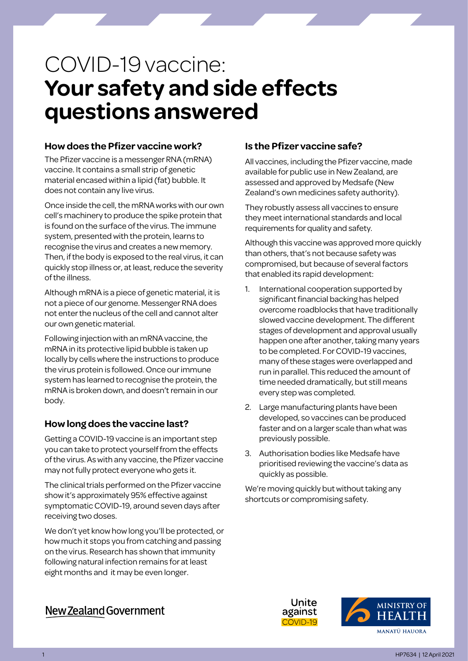# COVID-19 vaccine: **Your safety and side effects questions answered**

## **How does the Pfizer vaccine work?**

The Pfizer vaccine is a messenger RNA (mRNA) vaccine. It contains a small strip of genetic material encased within a lipid (fat) bubble. It does not contain any live virus.

Once inside the cell, the mRNA works with our own cell's machinery to produce the spike protein that is found on the surface of the virus. The immune system, presented with the protein, learns to recognise the virus and creates a new memory. Then, if the body is exposed to the real virus, it can quickly stop illness or, at least, reduce the severity of the illness.

Although mRNA is a piece of genetic material, it is not a piece of our genome. Messenger RNA does not enter the nucleus of the cell and cannot alter our own genetic material.

Following injection with an mRNA vaccine, the mRNA in its protective lipid bubble is taken up locally by cells where the instructions to produce the virus protein is followed. Once our immune system has learned to recognise the protein, the mRNA is broken down, and doesn't remain in our body.

## **How long does the vaccine last?**

Getting a COVID-19 vaccine is an important step you can take to protect yourself from the effects of the virus. As with any vaccine, the Pfizer vaccine may not fully protect everyone who gets it.

The clinical trials performed on the Pfizer vaccine show it's approximately 95% effective against symptomatic COVID-19, around seven days after receiving two doses.

We don't yet know how long you'll be protected, or how much it stops you from catching and passing on the virus. Research has shown that immunity following natural infection remains for at least eight months and it may be even longer.

# **Is the Pfizer vaccine safe?**

All vaccines, including the Pfizer vaccine, made available for public use in New Zealand, are assessed and approved by Medsafe (New Zealand's own medicines safety authority).

They robustly assess all vaccines to ensure they meet international standards and local requirements for quality and safety.

Although this vaccine was approved more quickly than others, that's not because safety was compromised, but because of several factors that enabled its rapid development:

- 1. International cooperation supported by significant financial backing has helped overcome roadblocks that have traditionally slowed vaccine development. The different stages of development and approval usually happen one after another, taking many years to be completed. For COVID-19 vaccines, many of these stages were overlapped and run in parallel. This reduced the amount of time needed dramatically, but still means every step was completed.
- 2. Large manufacturing plants have been developed, so vaccines can be produced faster and on a larger scale than what was previously possible.
- 3. Authorisation bodies like Medsafe have prioritised reviewing the vaccine's data as quickly as possible.

We're moving quickly but without taking any shortcuts or compromising safety.





**New Zealand Government**